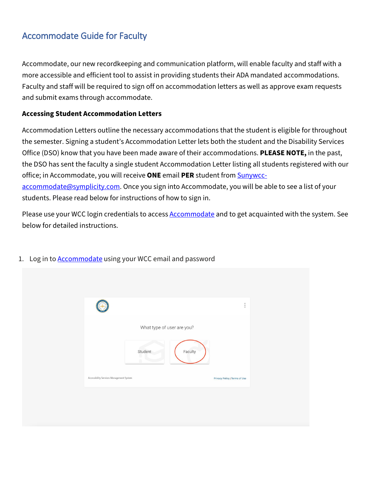## Accommodate Guide for Faculty

Accommodate, our new recordkeeping and communication platform, will enable faculty and staff with a more accessible and efficient tool to assist in providing students their ADA mandated accommodations. Faculty and staff will be required to sign off on accommodation letters as well as approve exam requests and submit exams through accommodate.

## **Accessing Student Accommodation Letters**

Accommodation Letters outline the necessary accommodations that the student is eligible for throughout the semester. Signing a student's Accommodation Letter lets both the student and the Disability Services Office (DSO) know that you have been made aware of their accommodations. **PLEASE NOTE,** in the past, the DSO has sent the faculty a single student Accommodation Letter listing all students registered with our office; in Accommodate, you will receive **ONE** email **PER** student fro[m Sunywcc](mailto:Sunywcc-accommodate@symplicity.com)[accommodate@symplicity.com.](mailto:Sunywcc-accommodate@symplicity.com) Once you sign into Accommodate, you will be able to see a list of your students. Please read below for instructions of how to sign in.

Please use your WCC login credentials to access **Accommodate** and to get acquainted with the system. See below for detailed instructions.

| What type of user are you?<br>Faculty<br>Student                          |
|---------------------------------------------------------------------------|
|                                                                           |
| Accessibility Services Management System<br>Privacy Policy   Terms of Use |

1. Log in to **Accommodate** using your WCC email and password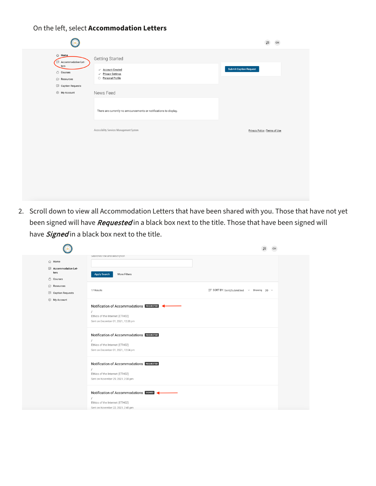## On the left, select **Accommodation Letters**

| <b>△ Home</b><br>Accommodation Let-<br>ters<br>O Courses<br>$\Box$ Resources | Getting Started<br>$\checkmark$ Account Created<br>√ Privacy Settings<br>O Personal Profile | <b>Submit Caption Request</b> |
|------------------------------------------------------------------------------|---------------------------------------------------------------------------------------------|-------------------------------|
| Caption Requests<br>⑧ My Account                                             | News Feed                                                                                   |                               |
|                                                                              | There are currently no announcements or notifications to display.                           |                               |
|                                                                              | Accessibility Services Management System                                                    | Privacy Policy   Terms of Use |
|                                                                              |                                                                                             |                               |
|                                                                              |                                                                                             |                               |
|                                                                              |                                                                                             |                               |

2. Scroll down to view all Accommodation Letters that have been shared with you. Those that have not yet been signed will have *Requested* in a black box next to the title. Those that have been signed will have **Signed** in a black box next to the title.

| <b>命</b> Home<br>E Accommodation Let-<br>ters<br>O Courses | searcnes title and description<br>More Filters<br><b>Apply Search</b>                                             |                                                     |  |
|------------------------------------------------------------|-------------------------------------------------------------------------------------------------------------------|-----------------------------------------------------|--|
| Resources<br><b>E</b> Caption Requests                     | 17 Results                                                                                                        | I= SORT BY: Sent/Submitted $\vee$ Showing 20 $\vee$ |  |
| 8 My Account                                               | Notification of Accommodations REQUESTED<br>Ethics of the Internet (ETH02)<br>Sent on December 01, 2021, 12:28 pm |                                                     |  |
|                                                            | Notification of Accommodations REQUESTED<br>Ethics of the Internet (ETH02)<br>Sent on December 01, 2021, 12:04 pm |                                                     |  |
|                                                            | Notification of Accommodations REQUESTED<br>Ethics of the Internet (ETH02)<br>Sent on November 29, 2021, 2:08 pm  |                                                     |  |
|                                                            | Notification of Accommodations SIGNED<br>Ethics of the Internet (ETH02)<br>Sent on November 22, 2021, 2:45 pm     |                                                     |  |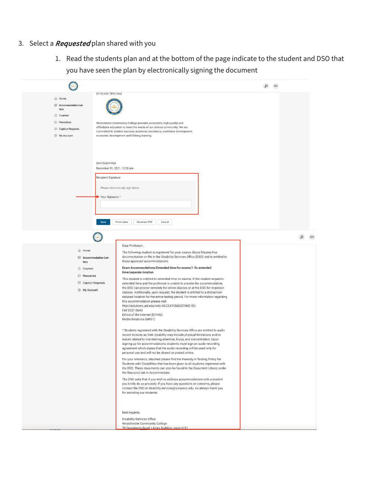- 3. Select a *Requested* plan shared with you
	- 1. Read the students plan and at the bottom of the page indicate to the student and DSO that you have seen the plan by electronically signing the document

| $\mathbb{CH}$<br>Ŋ<br>(914) 606-7893 (fax)<br><b>命</b> Home<br><b>ED</b> Accommodation Let-<br>ters<br>O Courses<br>Resources<br>Westchester Community College provides accessible, high quality and<br>affordable education to meet the needs of our diverse community. We are<br>Caption Requests<br>committed to student success, academic excellence, workforce development,<br>8 My Account<br>economic development and lifelong learning.<br>Sent/Submitted<br>December 01, 2021, 12:28 pm<br>Recipient Signature<br>Please electronically sign below.<br>Your Signature *<br>Print Letter<br>Generate PDF<br>Save<br>Cancel<br>Ø<br>$\mathsf{CH}% \left( \mathcal{M}\right)$<br>Dear Professor,<br><b>△ Home</b><br>The following student is registered for your course. Bryce Mauney has<br>documentation on file in the Disability Services Office (DSO) and is entitled to<br><b>E</b> Accommodation Let-<br>these approved accommodations:<br>ters<br>Exam Accommodations/Extended time for exams/1.5x extended<br>O Courses<br>time/separate location<br>Resources<br>This student is entitled to extended time on exams. If the student requests<br>Caption Requests<br>extended time and the professor is unable to provide the accommodation,<br>the DSO can proctor remotely for online classes or at the DSO for in-person<br>8 My Account<br>classes. Additionally, upon request, the student is entitled to a distraction-<br>reduced location for the entire testing period. For more information regarding<br>this accommodation please visit<br>http://solutions.unl.edu/wiki/ACCEXTENDEDTIME150<br>Fall 2021 (test)<br>Ethics of the Internet (ETH02)<br>Media Relations (MR01)<br>* Students registered with the Disability Services Office are entitled to audio<br>record lectures as their disability may include physical limitations and/or<br>issues related to maintaining attention, focus, and concentration. Upon<br>signing up for accommodations, students must sign an audio-recording<br>agreement which states that the audio recording will be used only for<br>personal use and will not be shared or posted online.<br>For your reference, attached please find the Honesty in Testing Policy for<br>Students with Disabilities that has been given to all students registered with<br>the DSO. These documents can also be found in the Document Library under<br>the Resource tab in Accommodate.<br>The DSO asks that if you wish to address accommodations with a student<br>you kindly do so privately. If you have any questions or concerns, please<br>contact the DSO at disability.services@sunywcc.edu. As always thank you<br>for assisting our students.<br>Best regards,<br><b>Disability Services Office</b> |  |  |
|----------------------------------------------------------------------------------------------------------------------------------------------------------------------------------------------------------------------------------------------------------------------------------------------------------------------------------------------------------------------------------------------------------------------------------------------------------------------------------------------------------------------------------------------------------------------------------------------------------------------------------------------------------------------------------------------------------------------------------------------------------------------------------------------------------------------------------------------------------------------------------------------------------------------------------------------------------------------------------------------------------------------------------------------------------------------------------------------------------------------------------------------------------------------------------------------------------------------------------------------------------------------------------------------------------------------------------------------------------------------------------------------------------------------------------------------------------------------------------------------------------------------------------------------------------------------------------------------------------------------------------------------------------------------------------------------------------------------------------------------------------------------------------------------------------------------------------------------------------------------------------------------------------------------------------------------------------------------------------------------------------------------------------------------------------------------------------------------------------------------------------------------------------------------------------------------------------------------------------------------------------------------------------------------------------------------------------------------------------------------------------------------------------------------------------------------------------------------------------------------------------------------------------------------------------------------------------------------------------------------------------------------------------------------------------------------------------------------------------------------------------------------|--|--|
|                                                                                                                                                                                                                                                                                                                                                                                                                                                                                                                                                                                                                                                                                                                                                                                                                                                                                                                                                                                                                                                                                                                                                                                                                                                                                                                                                                                                                                                                                                                                                                                                                                                                                                                                                                                                                                                                                                                                                                                                                                                                                                                                                                                                                                                                                                                                                                                                                                                                                                                                                                                                                                                                                                                                                                      |  |  |
|                                                                                                                                                                                                                                                                                                                                                                                                                                                                                                                                                                                                                                                                                                                                                                                                                                                                                                                                                                                                                                                                                                                                                                                                                                                                                                                                                                                                                                                                                                                                                                                                                                                                                                                                                                                                                                                                                                                                                                                                                                                                                                                                                                                                                                                                                                                                                                                                                                                                                                                                                                                                                                                                                                                                                                      |  |  |
|                                                                                                                                                                                                                                                                                                                                                                                                                                                                                                                                                                                                                                                                                                                                                                                                                                                                                                                                                                                                                                                                                                                                                                                                                                                                                                                                                                                                                                                                                                                                                                                                                                                                                                                                                                                                                                                                                                                                                                                                                                                                                                                                                                                                                                                                                                                                                                                                                                                                                                                                                                                                                                                                                                                                                                      |  |  |
|                                                                                                                                                                                                                                                                                                                                                                                                                                                                                                                                                                                                                                                                                                                                                                                                                                                                                                                                                                                                                                                                                                                                                                                                                                                                                                                                                                                                                                                                                                                                                                                                                                                                                                                                                                                                                                                                                                                                                                                                                                                                                                                                                                                                                                                                                                                                                                                                                                                                                                                                                                                                                                                                                                                                                                      |  |  |
|                                                                                                                                                                                                                                                                                                                                                                                                                                                                                                                                                                                                                                                                                                                                                                                                                                                                                                                                                                                                                                                                                                                                                                                                                                                                                                                                                                                                                                                                                                                                                                                                                                                                                                                                                                                                                                                                                                                                                                                                                                                                                                                                                                                                                                                                                                                                                                                                                                                                                                                                                                                                                                                                                                                                                                      |  |  |
|                                                                                                                                                                                                                                                                                                                                                                                                                                                                                                                                                                                                                                                                                                                                                                                                                                                                                                                                                                                                                                                                                                                                                                                                                                                                                                                                                                                                                                                                                                                                                                                                                                                                                                                                                                                                                                                                                                                                                                                                                                                                                                                                                                                                                                                                                                                                                                                                                                                                                                                                                                                                                                                                                                                                                                      |  |  |